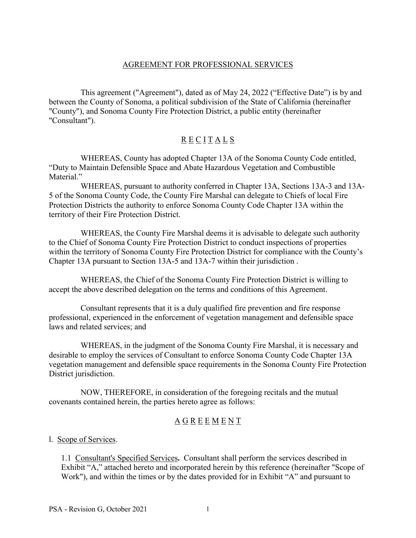### AGREEMENT FOR PROFESSIONAL SERVICES

This agreement ("Agreement"), dated as of May 24, 2022 ("Effective Date") is by and between the County of Sonoma, a political subdivision of the State of California (hereinafter "County"), and Sonoma County Fire Protection District, a public entity (hereinafter "Consultant").

# $\underline{R} \underline{E} \underline{C} \underline{I} \underline{T} \underline{A} \underline{L} \underline{S}$

WHEREAS, County has adopted Chapter 13A of the Sonoma County Code entitled, "Duty to Maintain Defensible Space and Abate Hazardous Vegetation and Combustible Material."

 WHEREAS, pursuant to authority conferred in Chapter 13A, Sections 13A-3 and 13A-5 of the Sonoma County Code, the County Fire Marshal can delegate to Chiefs of local Fire Protection Districts the authority to enforce Sonoma County Code Chapter 13A within the territory of their Fire Protection District.

 WHEREAS, the County Fire Marshal deems it is advisable to delegate such authority to the Chief of Sonoma County Fire Protection District to conduct inspections of properties within the territory of Sonoma County Fire Protection District for compliance with the County's Chapter 13A pursuant to Section 13A-5 and 13A-7 within their jurisdiction .

 WHEREAS, the Chief of the Sonoma County Fire Protection District is willing to accept the above described delegation on the terms and conditions of this Agreement.

Consultant represents that it is a duly qualified fire prevention and fire response professional, experienced in the enforcement of vegetation management and defensible space laws and related services; and

 WHEREAS, in the judgment of the Sonoma County Fire Marshal, it is necessary and desirable to employ the services of Consultant to enforce Sonoma County Code Chapter 13A vegetation management and defensible space requirements in the Sonoma County Fire Protection District jurisdiction.

 NOW, THEREFORE, in consideration of the foregoing recitals and the mutual covenants contained herein, the parties hereto agree as follows:

# A G R E E M E N T

l. Scope of Services.

1.1 Consultant's Specified Services**.** Consultant shall perform the services described in Exhibit "A," attached hereto and incorporated herein by this reference (hereinafter "Scope of Work"), and within the times or by the dates provided for in Exhibit "A" and pursuant to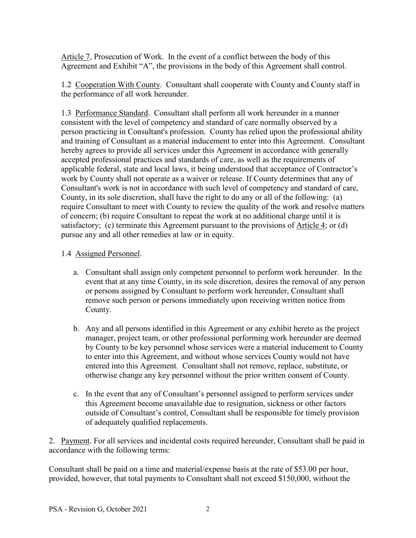Article 7, Prosecution of Work. In the event of a conflict between the body of this Agreement and Exhibit "A", the provisions in the body of this Agreement shall control.

1.2 Cooperation With County. Consultant shall cooperate with County and County staff in the performance of all work hereunder.

1.3 Performance Standard. Consultant shall perform all work hereunder in a manner consistent with the level of competency and standard of care normally observed by a person practicing in Consultant's profession. County has relied upon the professional ability and training of Consultant as a material inducement to enter into this Agreement. Consultant hereby agrees to provide all services under this Agreement in accordance with generally accepted professional practices and standards of care, as well as the requirements of applicable federal, state and local laws, it being understood that acceptance of Contractor's work by County shall not operate as a waiver or release. If County determines that any of Consultant's work is not in accordance with such level of competency and standard of care, County, in its sole discretion, shall have the right to do any or all of the following: (a) require Consultant to meet with County to review the quality of the work and resolve matters of concern; (b) require Consultant to repeat the work at no additional charge until it is satisfactory; (c) terminate this Agreement pursuant to the provisions of Article 4; or (d) pursue any and all other remedies at law or in equity.

### 1.4 Assigned Personnel.

- a. Consultant shall assign only competent personnel to perform work hereunder. In the event that at any time County, in its sole discretion, desires the removal of any person or persons assigned by Consultant to perform work hereunder, Consultant shall remove such person or persons immediately upon receiving written notice from County.
- b. Any and all persons identified in this Agreement or any exhibit hereto as the project manager, project team, or other professional performing work hereunder are deemed by County to be key personnel whose services were a material inducement to County to enter into this Agreement, and without whose services County would not have entered into this Agreement. Consultant shall not remove, replace, substitute, or otherwise change any key personnel without the prior written consent of County.
- c. In the event that any of Consultant's personnel assigned to perform services under this Agreement become unavailable due to resignation, sickness or other factors outside of Consultant's control, Consultant shall be responsible for timely provision of adequately qualified replacements.

2. Payment. For all services and incidental costs required hereunder, Consultant shall be paid in accordance with the following terms:

Consultant shall be paid on a time and material/expense basis at the rate of \$53.00 per hour, provided, however, that total payments to Consultant shall not exceed \$150,000, without the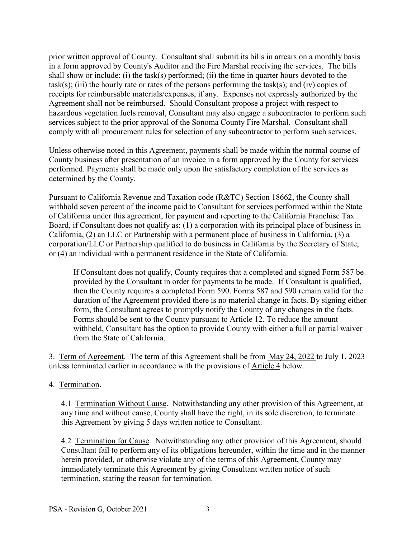prior written approval of County. Consultant shall submit its bills in arrears on a monthly basis in a form approved by County's Auditor and the Fire Marshal receiving the services. The bills shall show or include: (i) the task(s) performed; (ii) the time in quarter hours devoted to the  $task(s);$  (iii) the hourly rate or rates of the persons performing the task(s); and (iv) copies of receipts for reimbursable materials/expenses, if any. Expenses not expressly authorized by the Agreement shall not be reimbursed. Should Consultant propose a project with respect to hazardous vegetation fuels removal, Consultant may also engage a subcontractor to perform such services subject to the prior approval of the Sonoma County Fire Marshal. Consultant shall comply with all procurement rules for selection of any subcontractor to perform such services.

Unless otherwise noted in this Agreement, payments shall be made within the normal course of County business after presentation of an invoice in a form approved by the County for services performed. Payments shall be made only upon the satisfactory completion of the services as determined by the County.

Pursuant to California Revenue and Taxation code (R&TC) Section 18662, the County shall withhold seven percent of the income paid to Consultant for services performed within the State of California under this agreement, for payment and reporting to the California Franchise Tax Board, if Consultant does not qualify as: (1) a corporation with its principal place of business in California, (2) an LLC or Partnership with a permanent place of business in California, (3) a corporation/LLC or Partnership qualified to do business in California by the Secretary of State, or (4) an individual with a permanent residence in the State of California.

If Consultant does not qualify, County requires that a completed and signed Form 587 be provided by the Consultant in order for payments to be made. If Consultant is qualified, then the County requires a completed Form 590. Forms 587 and 590 remain valid for the duration of the Agreement provided there is no material change in facts. By signing either form, the Consultant agrees to promptly notify the County of any changes in the facts. Forms should be sent to the County pursuant to Article 12. To reduce the amount withheld, Consultant has the option to provide County with either a full or partial waiver from the State of California.

3. Term of Agreement. The term of this Agreement shall be from May 24, 2022 to July 1, 2023 unless terminated earlier in accordance with the provisions of Article 4 below.

## 4. Termination.

4.1 Termination Without Cause. Notwithstanding any other provision of this Agreement, at any time and without cause, County shall have the right, in its sole discretion, to terminate this Agreement by giving 5 days written notice to Consultant.

4.2 Termination for Cause. Notwithstanding any other provision of this Agreement, should Consultant fail to perform any of its obligations hereunder, within the time and in the manner herein provided, or otherwise violate any of the terms of this Agreement, County may immediately terminate this Agreement by giving Consultant written notice of such termination, stating the reason for termination.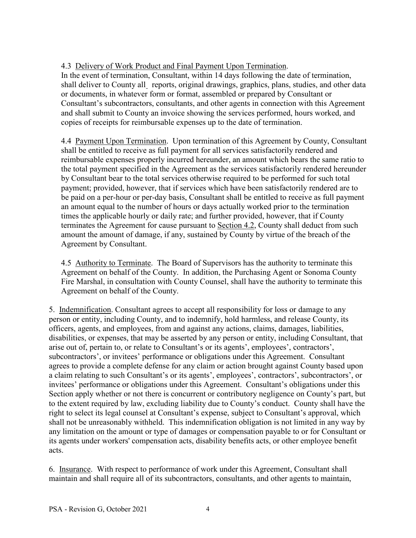# 4.3 Delivery of Work Product and Final Payment Upon Termination.

In the event of termination, Consultant, within 14 days following the date of termination, shall deliver to County all reports, original drawings, graphics, plans, studies, and other data or documents, in whatever form or format, assembled or prepared by Consultant or Consultant's subcontractors, consultants, and other agents in connection with this Agreement and shall submit to County an invoice showing the services performed, hours worked, and copies of receipts for reimbursable expenses up to the date of termination.

4.4 Payment Upon Termination. Upon termination of this Agreement by County, Consultant shall be entitled to receive as full payment for all services satisfactorily rendered and reimbursable expenses properly incurred hereunder, an amount which bears the same ratio to the total payment specified in the Agreement as the services satisfactorily rendered hereunder by Consultant bear to the total services otherwise required to be performed for such total payment; provided, however, that if services which have been satisfactorily rendered are to be paid on a per-hour or per-day basis, Consultant shall be entitled to receive as full payment an amount equal to the number of hours or days actually worked prior to the termination times the applicable hourly or daily rate; and further provided, however, that if County terminates the Agreement for cause pursuant to Section 4.2, County shall deduct from such amount the amount of damage, if any, sustained by County by virtue of the breach of the Agreement by Consultant.

4.5 Authority to Terminate. The Board of Supervisors has the authority to terminate this Agreement on behalf of the County. In addition, the Purchasing Agent or Sonoma County Fire Marshal, in consultation with County Counsel, shall have the authority to terminate this Agreement on behalf of the County.

5. Indemnification. Consultant agrees to accept all responsibility for loss or damage to any person or entity, including County, and to indemnify, hold harmless, and release County, its officers, agents, and employees, from and against any actions, claims, damages, liabilities, disabilities, or expenses, that may be asserted by any person or entity, including Consultant, that arise out of, pertain to, or relate to Consultant's or its agents', employees', contractors', subcontractors', or invitees' performance or obligations under this Agreement. Consultant agrees to provide a complete defense for any claim or action brought against County based upon a claim relating to such Consultant's or its agents', employees', contractors', subcontractors', or invitees' performance or obligations under this Agreement. Consultant's obligations under this Section apply whether or not there is concurrent or contributory negligence on County's part, but to the extent required by law, excluding liability due to County's conduct. County shall have the right to select its legal counsel at Consultant's expense, subject to Consultant's approval, which shall not be unreasonably withheld. This indemnification obligation is not limited in any way by any limitation on the amount or type of damages or compensation payable to or for Consultant or its agents under workers' compensation acts, disability benefits acts, or other employee benefit acts.

6. Insurance. With respect to performance of work under this Agreement, Consultant shall maintain and shall require all of its subcontractors, consultants, and other agents to maintain,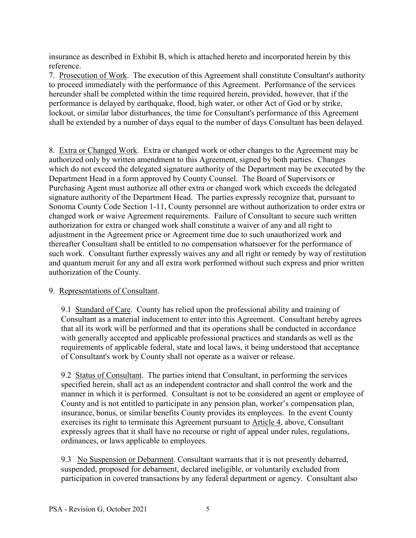insurance as described in Exhibit B, which is attached hereto and incorporated herein by this reference.

7. Prosecution of Work. The execution of this Agreement shall constitute Consultant's authority to proceed immediately with the performance of this Agreement. Performance of the services hereunder shall be completed within the time required herein, provided, however, that if the performance is delayed by earthquake, flood, high water, or other Act of God or by strike, lockout, or similar labor disturbances, the time for Consultant's performance of this Agreement shall be extended by a number of days equal to the number of days Consultant has been delayed.

8. Extra or Changed Work. Extra or changed work or other changes to the Agreement may be authorized only by written amendment to this Agreement, signed by both parties. Changes which do not exceed the delegated signature authority of the Department may be executed by the Department Head in a form approved by County Counsel. The Board of Supervisors or Purchasing Agent must authorize all other extra or changed work which exceeds the delegated signature authority of the Department Head. The parties expressly recognize that, pursuant to Sonoma County Code Section 1-11, County personnel are without authorization to order extra or changed work or waive Agreement requirements. Failure of Consultant to secure such written authorization for extra or changed work shall constitute a waiver of any and all right to adjustment in the Agreement price or Agreement time due to such unauthorized work and thereafter Consultant shall be entitled to no compensation whatsoever for the performance of such work. Consultant further expressly waives any and all right or remedy by way of restitution and quantum meruit for any and all extra work performed without such express and prior written authorization of the County.

## 9. Representations of Consultant.

9.1 Standard of Care. County has relied upon the professional ability and training of Consultant as a material inducement to enter into this Agreement. Consultant hereby agrees that all its work will be performed and that its operations shall be conducted in accordance with generally accepted and applicable professional practices and standards as well as the requirements of applicable federal, state and local laws, it being understood that acceptance of Consultant's work by County shall not operate as a waiver or release.

9.2 Status of Consultant. The parties intend that Consultant, in performing the services specified herein, shall act as an independent contractor and shall control the work and the manner in which it is performed. Consultant is not to be considered an agent or employee of County and is not entitled to participate in any pension plan, worker's compensation plan, insurance, bonus, or similar benefits County provides its employees. In the event County exercises its right to terminate this Agreement pursuant to Article 4, above, Consultant expressly agrees that it shall have no recourse or right of appeal under rules, regulations, ordinances, or laws applicable to employees.

9.3 No Suspension or Debarment. Consultant warrants that it is not presently debarred, suspended, proposed for debarment, declared ineligible, or voluntarily excluded from participation in covered transactions by any federal department or agency. Consultant also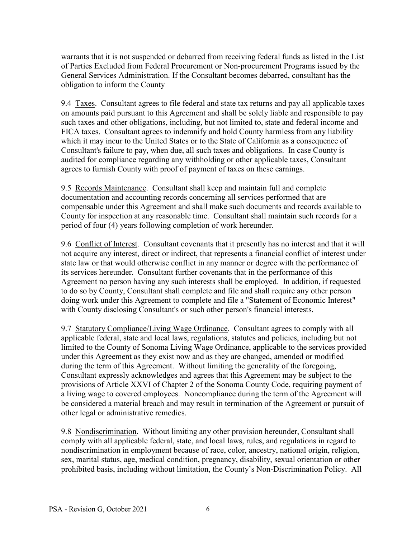warrants that it is not suspended or debarred from receiving federal funds as listed in the List of Parties Excluded from Federal Procurement or Non-procurement Programs issued by the General Services Administration. If the Consultant becomes debarred, consultant has the obligation to inform the County

9.4 Taxes. Consultant agrees to file federal and state tax returns and pay all applicable taxes on amounts paid pursuant to this Agreement and shall be solely liable and responsible to pay such taxes and other obligations, including, but not limited to, state and federal income and FICA taxes. Consultant agrees to indemnify and hold County harmless from any liability which it may incur to the United States or to the State of California as a consequence of Consultant's failure to pay, when due, all such taxes and obligations. In case County is audited for compliance regarding any withholding or other applicable taxes, Consultant agrees to furnish County with proof of payment of taxes on these earnings.

9.5 Records Maintenance. Consultant shall keep and maintain full and complete documentation and accounting records concerning all services performed that are compensable under this Agreement and shall make such documents and records available to County for inspection at any reasonable time. Consultant shall maintain such records for a period of four (4) years following completion of work hereunder.

9.6 Conflict of Interest. Consultant covenants that it presently has no interest and that it will not acquire any interest, direct or indirect, that represents a financial conflict of interest under state law or that would otherwise conflict in any manner or degree with the performance of its services hereunder. Consultant further covenants that in the performance of this Agreement no person having any such interests shall be employed. In addition, if requested to do so by County, Consultant shall complete and file and shall require any other person doing work under this Agreement to complete and file a "Statement of Economic Interest" with County disclosing Consultant's or such other person's financial interests.

9.7 Statutory Compliance/Living Wage Ordinance. Consultant agrees to comply with all applicable federal, state and local laws, regulations, statutes and policies, including but not limited to the County of Sonoma Living Wage Ordinance, applicable to the services provided under this Agreement as they exist now and as they are changed, amended or modified during the term of this Agreement. Without limiting the generality of the foregoing, Consultant expressly acknowledges and agrees that this Agreement may be subject to the provisions of Article XXVI of Chapter 2 of the Sonoma County Code, requiring payment of a living wage to covered employees. Noncompliance during the term of the Agreement will be considered a material breach and may result in termination of the Agreement or pursuit of other legal or administrative remedies.

9.8 Nondiscrimination. Without limiting any other provision hereunder, Consultant shall comply with all applicable federal, state, and local laws, rules, and regulations in regard to nondiscrimination in employment because of race, color, ancestry, national origin, religion, sex, marital status, age, medical condition, pregnancy, disability, sexual orientation or other prohibited basis, including without limitation, the County's Non-Discrimination Policy. All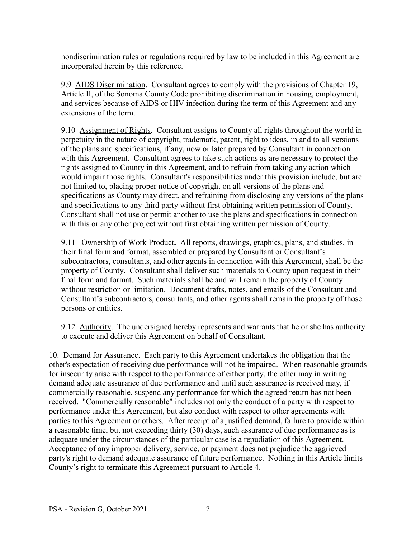nondiscrimination rules or regulations required by law to be included in this Agreement are incorporated herein by this reference.

9.9 AIDS Discrimination. Consultant agrees to comply with the provisions of Chapter 19, Article II, of the Sonoma County Code prohibiting discrimination in housing, employment, and services because of AIDS or HIV infection during the term of this Agreement and any extensions of the term.

9.10 Assignment of Rights. Consultant assigns to County all rights throughout the world in perpetuity in the nature of copyright, trademark, patent, right to ideas, in and to all versions of the plans and specifications, if any, now or later prepared by Consultant in connection with this Agreement. Consultant agrees to take such actions as are necessary to protect the rights assigned to County in this Agreement, and to refrain from taking any action which would impair those rights. Consultant's responsibilities under this provision include, but are not limited to, placing proper notice of copyright on all versions of the plans and specifications as County may direct, and refraining from disclosing any versions of the plans and specifications to any third party without first obtaining written permission of County. Consultant shall not use or permit another to use the plans and specifications in connection with this or any other project without first obtaining written permission of County.

9.11 Ownership of Work Product**.** All reports, drawings, graphics, plans, and studies, in their final form and format, assembled or prepared by Consultant or Consultant's subcontractors, consultants, and other agents in connection with this Agreement, shall be the property of County. Consultant shall deliver such materials to County upon request in their final form and format. Such materials shall be and will remain the property of County without restriction or limitation. Document drafts, notes, and emails of the Consultant and Consultant's subcontractors, consultants, and other agents shall remain the property of those persons or entities.

9.12 Authority. The undersigned hereby represents and warrants that he or she has authority to execute and deliver this Agreement on behalf of Consultant.

10. Demand for Assurance. Each party to this Agreement undertakes the obligation that the other's expectation of receiving due performance will not be impaired. When reasonable grounds for insecurity arise with respect to the performance of either party, the other may in writing demand adequate assurance of due performance and until such assurance is received may, if commercially reasonable, suspend any performance for which the agreed return has not been received. "Commercially reasonable" includes not only the conduct of a party with respect to performance under this Agreement, but also conduct with respect to other agreements with parties to this Agreement or others. After receipt of a justified demand, failure to provide within a reasonable time, but not exceeding thirty (30) days, such assurance of due performance as is adequate under the circumstances of the particular case is a repudiation of this Agreement. Acceptance of any improper delivery, service, or payment does not prejudice the aggrieved party's right to demand adequate assurance of future performance. Nothing in this Article limits County's right to terminate this Agreement pursuant to Article 4.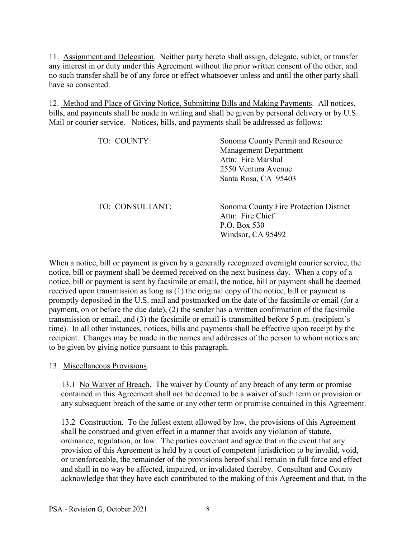11. Assignment and Delegation. Neither party hereto shall assign, delegate, sublet, or transfer any interest in or duty under this Agreement without the prior written consent of the other, and no such transfer shall be of any force or effect whatsoever unless and until the other party shall have so consented.

12. Method and Place of Giving Notice, Submitting Bills and Making Payments. All notices, bills, and payments shall be made in writing and shall be given by personal delivery or by U.S. Mail or courier service. Notices, bills, and payments shall be addressed as follows:

| TO: COUNTY:     | Sonoma County Permit and Resource<br><b>Management Department</b><br>Attn: Fire Marshal<br>2550 Ventura Avenue<br>Santa Rosa, CA 95403 |
|-----------------|----------------------------------------------------------------------------------------------------------------------------------------|
| TO: CONSULTANT: | Sonoma County Fire Protection District<br>Attn: Fire Chief<br>P.O. Box 530<br>Windsor, CA 95492                                        |

When a notice, bill or payment is given by a generally recognized overnight courier service, the notice, bill or payment shall be deemed received on the next business day. When a copy of a notice, bill or payment is sent by facsimile or email, the notice, bill or payment shall be deemed received upon transmission as long as (1) the original copy of the notice, bill or payment is promptly deposited in the U.S. mail and postmarked on the date of the facsimile or email (for a payment, on or before the due date), (2) the sender has a written confirmation of the facsimile transmission or email, and (3) the facsimile or email is transmitted before 5 p.m. (recipient's time). In all other instances, notices, bills and payments shall be effective upon receipt by the recipient. Changes may be made in the names and addresses of the person to whom notices are to be given by giving notice pursuant to this paragraph.

13. Miscellaneous Provisions.

13.1 No Waiver of Breach. The waiver by County of any breach of any term or promise contained in this Agreement shall not be deemed to be a waiver of such term or provision or any subsequent breach of the same or any other term or promise contained in this Agreement.

13.2 Construction. To the fullest extent allowed by law, the provisions of this Agreement shall be construed and given effect in a manner that avoids any violation of statute, ordinance, regulation, or law. The parties covenant and agree that in the event that any provision of this Agreement is held by a court of competent jurisdiction to be invalid, void, or unenforceable, the remainder of the provisions hereof shall remain in full force and effect and shall in no way be affected, impaired, or invalidated thereby. Consultant and County acknowledge that they have each contributed to the making of this Agreement and that, in the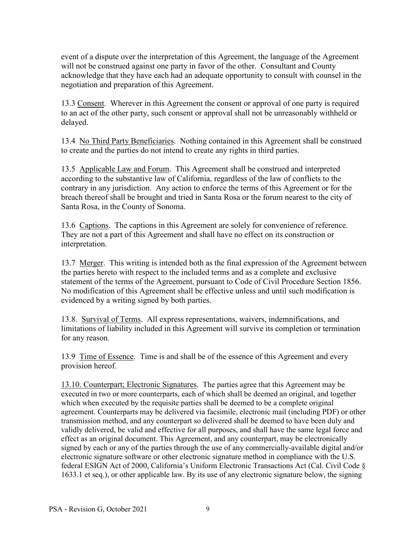event of a dispute over the interpretation of this Agreement, the language of the Agreement will not be construed against one party in favor of the other. Consultant and County acknowledge that they have each had an adequate opportunity to consult with counsel in the negotiation and preparation of this Agreement.

13.3 Consent. Wherever in this Agreement the consent or approval of one party is required to an act of the other party, such consent or approval shall not be unreasonably withheld or delayed.

13.4 No Third Party Beneficiaries. Nothing contained in this Agreement shall be construed to create and the parties do not intend to create any rights in third parties.

13.5 Applicable Law and Forum. This Agreement shall be construed and interpreted according to the substantive law of California, regardless of the law of conflicts to the contrary in any jurisdiction. Any action to enforce the terms of this Agreement or for the breach thereof shall be brought and tried in Santa Rosa or the forum nearest to the city of Santa Rosa, in the County of Sonoma.

13.6 Captions. The captions in this Agreement are solely for convenience of reference. They are not a part of this Agreement and shall have no effect on its construction or interpretation.

13.7 Merger. This writing is intended both as the final expression of the Agreement between the parties hereto with respect to the included terms and as a complete and exclusive statement of the terms of the Agreement, pursuant to Code of Civil Procedure Section 1856. No modification of this Agreement shall be effective unless and until such modification is evidenced by a writing signed by both parties.

13.8. Survival of Terms. All express representations, waivers, indemnifications, and limitations of liability included in this Agreement will survive its completion or termination for any reason.

13.9 Time of Essence. Time is and shall be of the essence of this Agreement and every provision hereof.

13.10. Counterpart; Electronic Signatures. The parties agree that this Agreement may be executed in two or more counterparts, each of which shall be deemed an original, and together which when executed by the requisite parties shall be deemed to be a complete original agreement. Counterparts may be delivered via facsimile, electronic mail (including PDF) or other transmission method, and any counterpart so delivered shall be deemed to have been duly and validly delivered, be valid and effective for all purposes, and shall have the same legal force and effect as an original document. This Agreement, and any counterpart, may be electronically signed by each or any of the parties through the use of any commercially-available digital and/or electronic signature software or other electronic signature method in compliance with the U.S. federal ESIGN Act of 2000, California's Uniform Electronic Transactions Act (Cal. Civil Code § 1633.1 et seq.), or other applicable law. By its use of any electronic signature below, the signing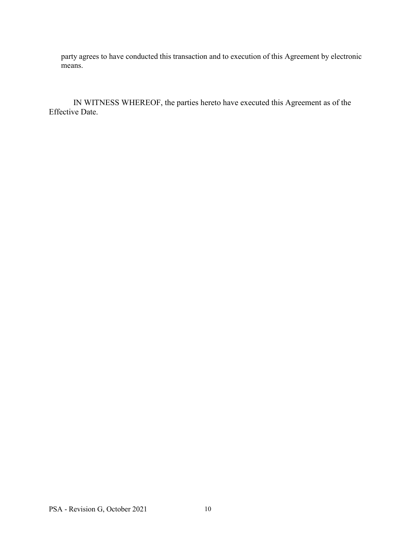party agrees to have conducted this transaction and to execution of this Agreement by electronic means.

IN WITNESS WHEREOF, the parties hereto have executed this Agreement as of the Effective Date.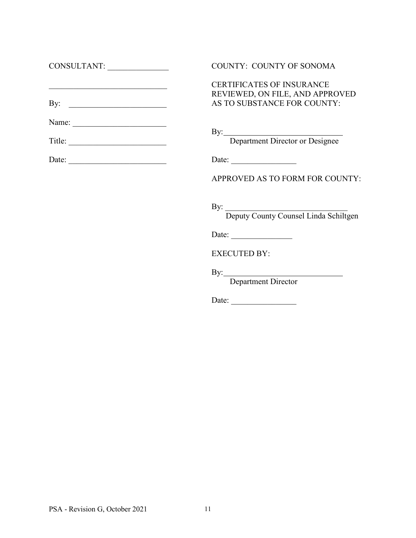| <b>COUNTY: COUNTY OF SONOMA</b>                                                                                         |
|-------------------------------------------------------------------------------------------------------------------------|
| <b>CERTIFICATES OF INSURANCE</b><br>REVIEWED, ON FILE, AND APPROVED<br>AS TO SUBSTANCE FOR COUNTY:                      |
|                                                                                                                         |
| By: Department Director or Designee                                                                                     |
| Date: $\frac{1}{\sqrt{1-\frac{1}{2}}\sqrt{1-\frac{1}{2}}\sqrt{1-\frac{1}{2}}\sqrt{1-\frac{1}{2}}\sqrt{1-\frac{1}{2}}}}$ |
| APPROVED AS TO FORM FOR COUNTY:                                                                                         |
| By: Deputy County Counsel Linda Schiltgen                                                                               |
| Date: $\frac{1}{\sqrt{1-\frac{1}{2}} \cdot \frac{1}{2}}$                                                                |
| <b>EXECUTED BY:</b>                                                                                                     |
| <b>Department Director</b>                                                                                              |
|                                                                                                                         |

Date: \_\_\_\_\_\_\_\_\_\_\_\_\_\_\_\_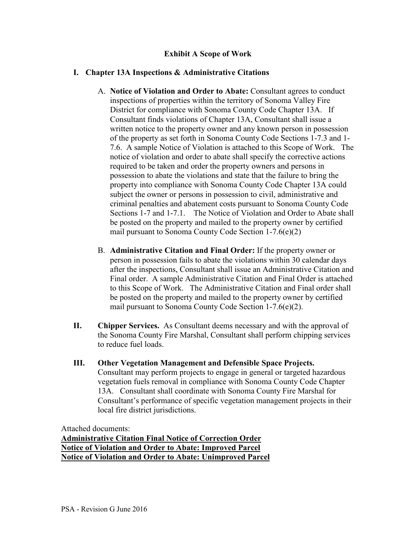# **Exhibit A Scope of Work**

# **I. Chapter 13A Inspections & Administrative Citations**

- A. **Notice of Violation and Order to Abate:** Consultant agrees to conduct inspections of properties within the territory of Sonoma Valley Fire District for compliance with Sonoma County Code Chapter 13A. If Consultant finds violations of Chapter 13A, Consultant shall issue a written notice to the property owner and any known person in possession of the property as set forth in Sonoma County Code Sections 1-7.3 and 1- 7.6. A sample Notice of Violation is attached to this Scope of Work. The notice of violation and order to abate shall specify the corrective actions required to be taken and order the property owners and persons in possession to abate the violations and state that the failure to bring the property into compliance with Sonoma County Code Chapter 13A could subject the owner or persons in possession to civil, administrative and criminal penalties and abatement costs pursuant to Sonoma County Code Sections 1-7 and 1-7.1. The Notice of Violation and Order to Abate shall be posted on the property and mailed to the property owner by certified mail pursuant to Sonoma County Code Section 1-7.6(e)(2)
- B. **Administrative Citation and Final Order:** If the property owner or person in possession fails to abate the violations within 30 calendar days after the inspections, Consultant shall issue an Administrative Citation and Final order. A sample Administrative Citation and Final Order is attached to this Scope of Work. The Administrative Citation and Final order shall be posted on the property and mailed to the property owner by certified mail pursuant to Sonoma County Code Section 1-7.6(e)(2).
- **II. Chipper Services.** As Consultant deems necessary and with the approval of the Sonoma County Fire Marshal, Consultant shall perform chipping services to reduce fuel loads.
- **III. Other Vegetation Management and Defensible Space Projects.**  Consultant may perform projects to engage in general or targeted hazardous vegetation fuels removal in compliance with Sonoma County Code Chapter 13A. Consultant shall coordinate with Sonoma County Fire Marshal for Consultant's performance of specific vegetation management projects in their local fire district jurisdictions.

Attached documents: **Administrative Citation Final Notice of Correction Order Notice of Violation and Order to Abate: Improved Parcel Notice of Violation and Order to Abate: Unimproved Parcel**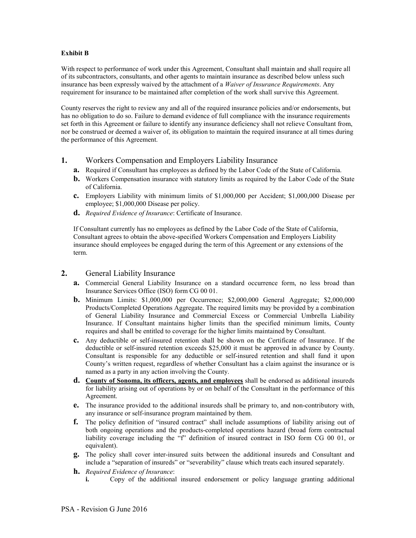#### **Exhibit B**

With respect to performance of work under this Agreement, Consultant shall maintain and shall require all of its subcontractors, consultants, and other agents to maintain insurance as described below unless such insurance has been expressly waived by the attachment of a *Waiver of Insurance Requirements*. Any requirement for insurance to be maintained after completion of the work shall survive this Agreement.

County reserves the right to review any and all of the required insurance policies and/or endorsements, but has no obligation to do so. Failure to demand evidence of full compliance with the insurance requirements set forth in this Agreement or failure to identify any insurance deficiency shall not relieve Consultant from, nor be construed or deemed a waiver of, its obligation to maintain the required insurance at all times during the performance of this Agreement.

#### **1.** Workers Compensation and Employers Liability Insurance

- **a.** Required if Consultant has employees as defined by the Labor Code of the State of California.
- **b.** Workers Compensation insurance with statutory limits as required by the Labor Code of the State of California.
- **c.** Employers Liability with minimum limits of \$1,000,000 per Accident; \$1,000,000 Disease per employee; \$1,000,000 Disease per policy.
- **d.** *Required Evidence of Insurance*: Certificate of Insurance.

If Consultant currently has no employees as defined by the Labor Code of the State of California, Consultant agrees to obtain the above-specified Workers Compensation and Employers Liability insurance should employees be engaged during the term of this Agreement or any extensions of the term.

#### **2.** General Liability Insurance

- **a.** Commercial General Liability Insurance on a standard occurrence form, no less broad than Insurance Services Office (ISO) form CG 00 01.
- **b.** Minimum Limits: \$1,000,000 per Occurrence; \$2,000,000 General Aggregate; \$2,000,000 Products/Completed Operations Aggregate. The required limits may be provided by a combination of General Liability Insurance and Commercial Excess or Commercial Umbrella Liability Insurance. If Consultant maintains higher limits than the specified minimum limits, County requires and shall be entitled to coverage for the higher limits maintained by Consultant.
- **c.** Any deductible or self-insured retention shall be shown on the Certificate of Insurance. If the deductible or self-insured retention exceeds \$25,000 it must be approved in advance by County. Consultant is responsible for any deductible or self-insured retention and shall fund it upon County's written request, regardless of whether Consultant has a claim against the insurance or is named as a party in any action involving the County.
- **d. County of Sonoma, its officers, agents, and employees** shall be endorsed as additional insureds for liability arising out of operations by or on behalf of the Consultant in the performance of this Agreement.
- **e.** The insurance provided to the additional insureds shall be primary to, and non-contributory with, any insurance or self-insurance program maintained by them.
- **f.** The policy definition of "insured contract" shall include assumptions of liability arising out of both ongoing operations and the products-completed operations hazard (broad form contractual liability coverage including the "f" definition of insured contract in ISO form CG 00 01, or equivalent).
- **g.** The policy shall cover inter-insured suits between the additional insureds and Consultant and include a "separation of insureds" or "severability" clause which treats each insured separately.
- **h.** *Required Evidence of Insurance*:
	- **i.** Copy of the additional insured endorsement or policy language granting additional